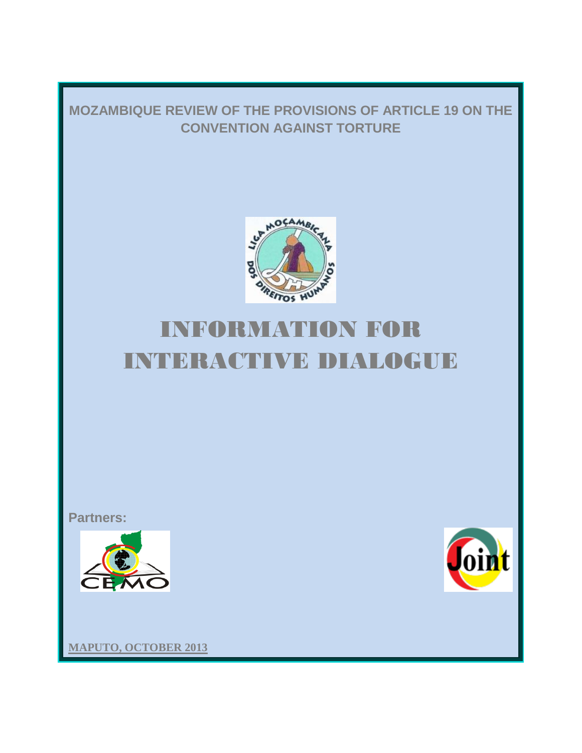# **MOZAMBIQUE REVIEW OF THE PROVISIONS OF ARTICLE 19 ON THE CONVENTION AGAINST TORTURE**



# INFORMATION FOR INTERACTIVE DIALOGUE

**Partners:**





**MAPUTO, OCTOBER 2013**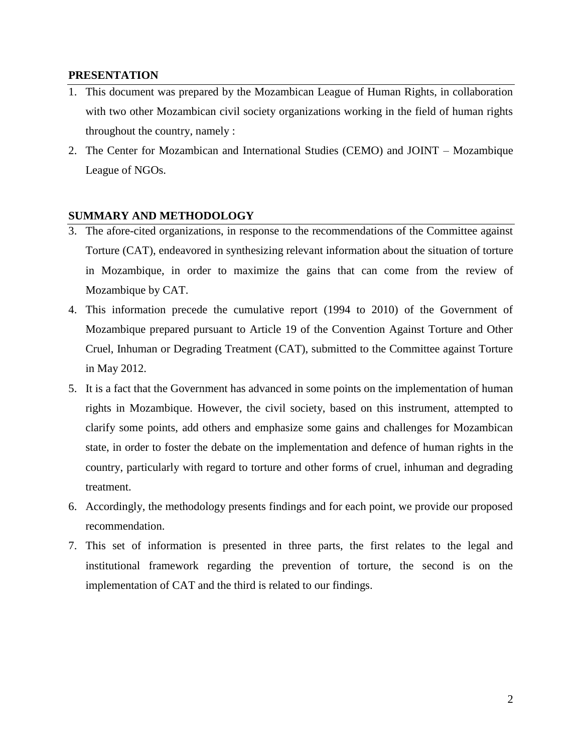# **PRESENTATION**

- 1. This document was prepared by the Mozambican League of Human Rights, in collaboration with two other Mozambican civil society organizations working in the field of human rights throughout the country, namely :
- 2. The Center for Mozambican and International Studies (CEMO) and JOINT Mozambique League of NGOs.

# **SUMMARY AND METHODOLOGY**

- 3. The afore-cited organizations, in response to the recommendations of the Committee against Torture (CAT), endeavored in synthesizing relevant information about the situation of torture in Mozambique, in order to maximize the gains that can come from the review of Mozambique by CAT.
- 4. This information precede the cumulative report (1994 to 2010) of the Government of Mozambique prepared pursuant to Article 19 of the Convention Against Torture and Other Cruel, Inhuman or Degrading Treatment (CAT), submitted to the Committee against Torture in May 2012.
- 5. It is a fact that the Government has advanced in some points on the implementation of human rights in Mozambique. However, the civil society, based on this instrument, attempted to clarify some points, add others and emphasize some gains and challenges for Mozambican state, in order to foster the debate on the implementation and defence of human rights in the country, particularly with regard to torture and other forms of cruel, inhuman and degrading treatment.
- 6. Accordingly, the methodology presents findings and for each point, we provide our proposed recommendation.
- 7. This set of information is presented in three parts, the first relates to the legal and institutional framework regarding the prevention of torture, the second is on the implementation of CAT and the third is related to our findings.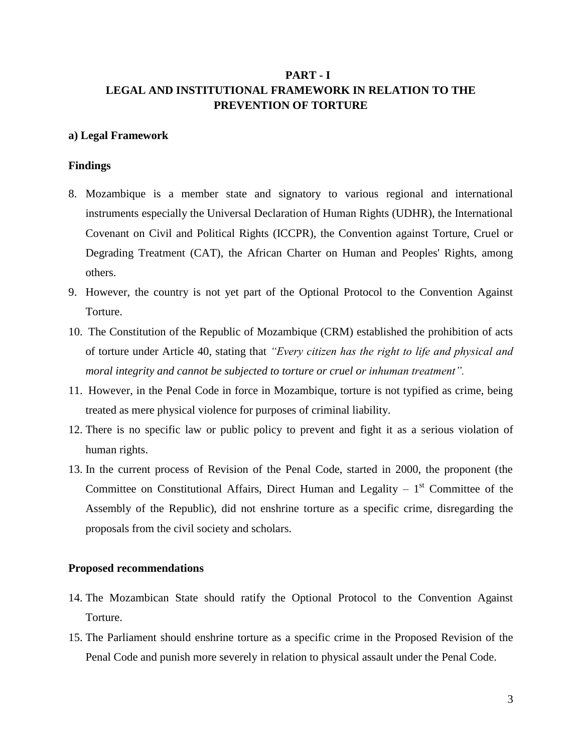# **PART - I LEGAL AND INSTITUTIONAL FRAMEWORK IN RELATION TO THE PREVENTION OF TORTURE**

# **a) Legal Framework**

# **Findings**

- 8. Mozambique is a member state and signatory to various regional and international instruments especially the Universal Declaration of Human Rights (UDHR), the International Covenant on Civil and Political Rights (ICCPR), the Convention against Torture, Cruel or Degrading Treatment (CAT), the African Charter on Human and Peoples' Rights, among others.
- 9. However, the country is not yet part of the Optional Protocol to the Convention Against Torture.
- 10. The Constitution of the Republic of Mozambique (CRM) established the prohibition of acts of torture under Article 40, stating that *"Every citizen has the right to life and physical and moral integrity and cannot be subjected to torture or cruel or inhuman treatment".*
- 11. However, in the Penal Code in force in Mozambique, torture is not typified as crime, being treated as mere physical violence for purposes of criminal liability.
- 12. There is no specific law or public policy to prevent and fight it as a serious violation of human rights.
- 13. In the current process of Revision of the Penal Code, started in 2000, the proponent (the Committee on Constitutional Affairs, Direct Human and Legality  $-1<sup>st</sup>$  Committee of the Assembly of the Republic), did not enshrine torture as a specific crime, disregarding the proposals from the civil society and scholars.

#### **Proposed recommendations**

- 14. The Mozambican State should ratify the Optional Protocol to the Convention Against Torture.
- 15. The Parliament should enshrine torture as a specific crime in the Proposed Revision of the Penal Code and punish more severely in relation to physical assault under the Penal Code.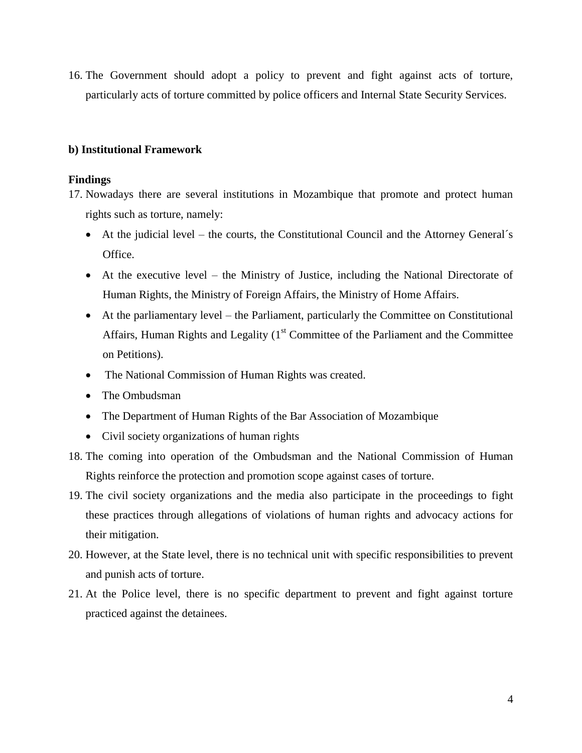16. The Government should adopt a policy to prevent and fight against acts of torture, particularly acts of torture committed by police officers and Internal State Security Services.

# **b) Institutional Framework**

#### **Findings**

- 17. Nowadays there are several institutions in Mozambique that promote and protect human rights such as torture, namely:
	- At the judicial level the courts, the Constitutional Council and the Attorney General's Office.
	- At the executive level the Ministry of Justice, including the National Directorate of Human Rights, the Ministry of Foreign Affairs, the Ministry of Home Affairs.
	- At the parliamentary level the Parliament, particularly the Committee on Constitutional Affairs, Human Rights and Legality  $(1<sup>st</sup>$  Committee of the Parliament and the Committee on Petitions).
	- The National Commission of Human Rights was created.
	- The Ombudsman
	- The Department of Human Rights of the Bar Association of Mozambique
	- Civil society organizations of human rights
- 18. The coming into operation of the Ombudsman and the National Commission of Human Rights reinforce the protection and promotion scope against cases of torture.
- 19. The civil society organizations and the media also participate in the proceedings to fight these practices through allegations of violations of human rights and advocacy actions for their mitigation.
- 20. However, at the State level, there is no technical unit with specific responsibilities to prevent and punish acts of torture.
- 21. At the Police level, there is no specific department to prevent and fight against torture practiced against the detainees.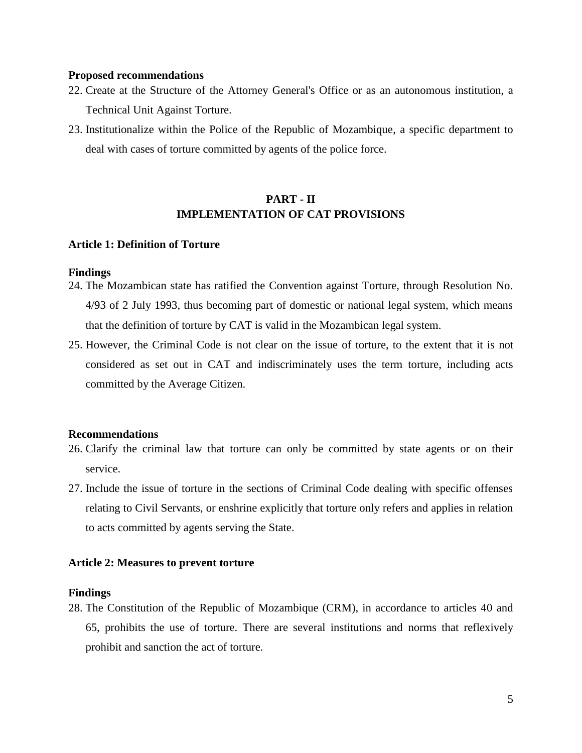#### **Proposed recommendations**

- 22. Create at the Structure of the Attorney General's Office or as an autonomous institution, a Technical Unit Against Torture.
- 23. Institutionalize within the Police of the Republic of Mozambique, a specific department to deal with cases of torture committed by agents of the police force.

# **PART - II IMPLEMENTATION OF CAT PROVISIONS**

#### **Article 1: Definition of Torture**

#### **Findings**

- 24. The Mozambican state has ratified the Convention against Torture, through Resolution No. 4/93 of 2 July 1993, thus becoming part of domestic or national legal system, which means that the definition of torture by CAT is valid in the Mozambican legal system.
- 25. However, the Criminal Code is not clear on the issue of torture, to the extent that it is not considered as set out in CAT and indiscriminately uses the term torture, including acts committed by the Average Citizen.

# **Recommendations**

- 26. Clarify the criminal law that torture can only be committed by state agents or on their service.
- 27. Include the issue of torture in the sections of Criminal Code dealing with specific offenses relating to Civil Servants, or enshrine explicitly that torture only refers and applies in relation to acts committed by agents serving the State.

# **Article 2: Measures to prevent torture**

#### **Findings**

28. The Constitution of the Republic of Mozambique (CRM), in accordance to articles 40 and 65, prohibits the use of torture. There are several institutions and norms that reflexively prohibit and sanction the act of torture.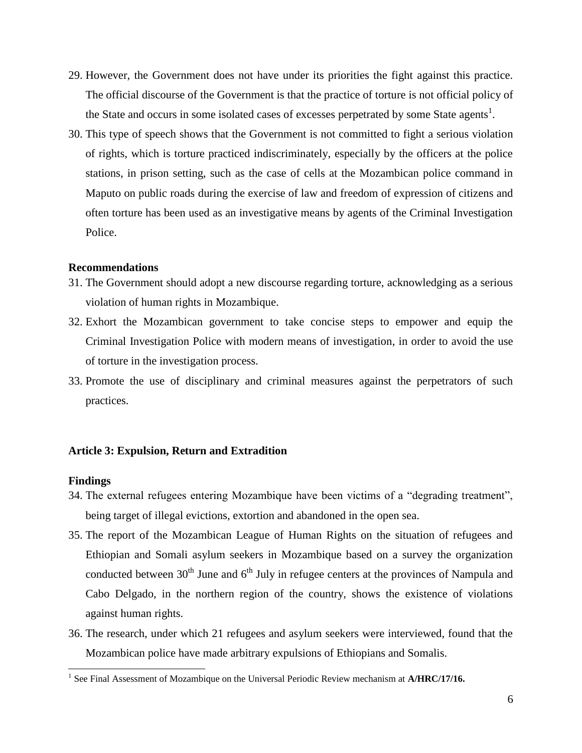- 29. However, the Government does not have under its priorities the fight against this practice. The official discourse of the Government is that the practice of torture is not official policy of the State and occurs in some isolated cases of excesses perpetrated by some State agents<sup>1</sup>.
- 30. This type of speech shows that the Government is not committed to fight a serious violation of rights, which is torture practiced indiscriminately, especially by the officers at the police stations, in prison setting, such as the case of cells at the Mozambican police command in Maputo on public roads during the exercise of law and freedom of expression of citizens and often torture has been used as an investigative means by agents of the Criminal Investigation Police.

# **Recommendations**

- 31. The Government should adopt a new discourse regarding torture, acknowledging as a serious violation of human rights in Mozambique.
- 32. Exhort the Mozambican government to take concise steps to empower and equip the Criminal Investigation Police with modern means of investigation, in order to avoid the use of torture in the investigation process.
- 33. Promote the use of disciplinary and criminal measures against the perpetrators of such practices.

# **Article 3: Expulsion, Return and Extradition**

#### **Findings**

l

- 34. The external refugees entering Mozambique have been victims of a "degrading treatment", being target of illegal evictions, extortion and abandoned in the open sea.
- 35. The report of the Mozambican League of Human Rights on the situation of refugees and Ethiopian and Somali asylum seekers in Mozambique based on a survey the organization conducted between  $30<sup>th</sup>$  June and  $6<sup>th</sup>$  July in refugee centers at the provinces of Nampula and Cabo Delgado, in the northern region of the country, shows the existence of violations against human rights.
- 36. The research, under which 21 refugees and asylum seekers were interviewed, found that the Mozambican police have made arbitrary expulsions of Ethiopians and Somalis.

<sup>&</sup>lt;sup>1</sup> See Final Assessment of Mozambique on the Universal Periodic Review mechanism at A/HRC/17/16.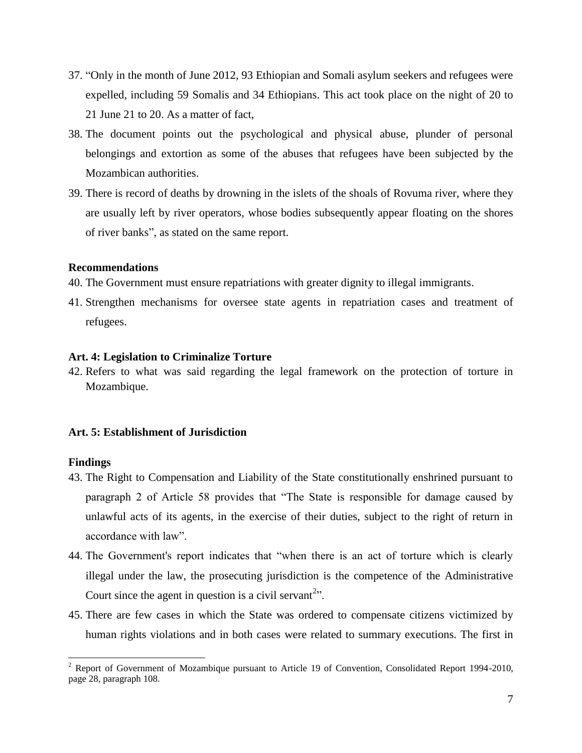- 37. "Only in the month of June 2012, 93 Ethiopian and Somali asylum seekers and refugees were expelled, including 59 Somalis and 34 Ethiopians. This act took place on the night of 20 to 21 June 21 to 20. As a matter of fact,
- 38. The document points out the psychological and physical abuse, plunder of personal belongings and extortion as some of the abuses that refugees have been subjected by the Mozambican authorities.
- 39. There is record of deaths by drowning in the islets of the shoals of Rovuma river, where they are usually left by river operators, whose bodies subsequently appear floating on the shores of river banks", as stated on the same report.

# **Recommendations**

40. The Government must ensure repatriations with greater dignity to illegal immigrants.

41. Strengthen mechanisms for oversee state agents in repatriation cases and treatment of refugees.

# **Art. 4: Legislation to Criminalize Torture**

42. Refers to what was said regarding the legal framework on the protection of torture in Mozambique.

# **Art. 5: Establishment of Jurisdiction**

#### **Findings**

 $\overline{a}$ 

- 43. The Right to Compensation and Liability of the State constitutionally enshrined pursuant to paragraph 2 of Article 58 provides that "The State is responsible for damage caused by unlawful acts of its agents, in the exercise of their duties, subject to the right of return in accordance with law".
- 44. The Government's report indicates that "when there is an act of torture which is clearly illegal under the law, the prosecuting jurisdiction is the competence of the Administrative Court since the agent in question is a civil servant<sup>2</sup>".
- 45. There are few cases in which the State was ordered to compensate citizens victimized by human rights violations and in both cases were related to summary executions. The first in

 $2$  Report of Government of Mozambique pursuant to Article 19 of Convention, Consolidated Report 1994-2010, page 28, paragraph 108.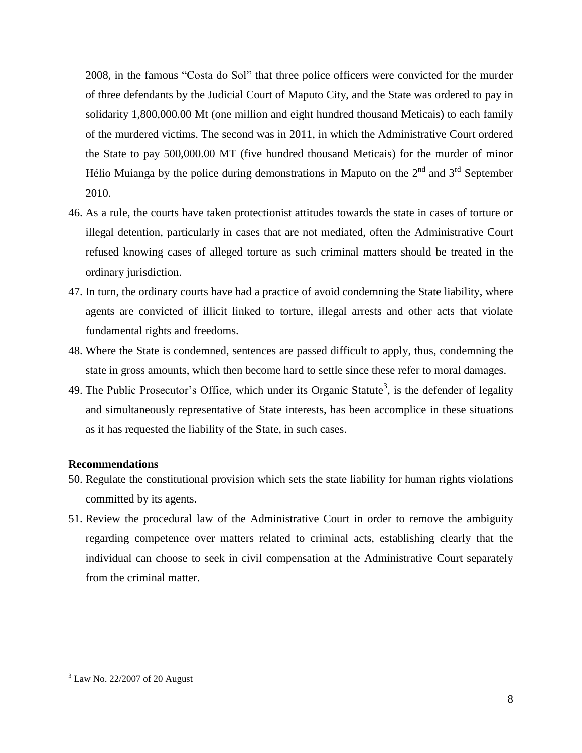2008, in the famous "Costa do Sol" that three police officers were convicted for the murder of three defendants by the Judicial Court of Maputo City, and the State was ordered to pay in solidarity 1,800,000.00 Mt (one million and eight hundred thousand Meticais) to each family of the murdered victims. The second was in 2011, in which the Administrative Court ordered the State to pay 500,000.00 MT (five hundred thousand Meticais) for the murder of minor Hélio Muianga by the police during demonstrations in Maputo on the  $2<sup>nd</sup>$  and  $3<sup>rd</sup>$  September 2010.

- 46. As a rule, the courts have taken protectionist attitudes towards the state in cases of torture or illegal detention, particularly in cases that are not mediated, often the Administrative Court refused knowing cases of alleged torture as such criminal matters should be treated in the ordinary jurisdiction.
- 47. In turn, the ordinary courts have had a practice of avoid condemning the State liability, where agents are convicted of illicit linked to torture, illegal arrests and other acts that violate fundamental rights and freedoms.
- 48. Where the State is condemned, sentences are passed difficult to apply, thus, condemning the state in gross amounts, which then become hard to settle since these refer to moral damages.
- 49. The Public Prosecutor's Office, which under its Organic Statute<sup>3</sup>, is the defender of legality and simultaneously representative of State interests, has been accomplice in these situations as it has requested the liability of the State, in such cases.

#### **Recommendations**

- 50. Regulate the constitutional provision which sets the state liability for human rights violations committed by its agents.
- 51. Review the procedural law of the Administrative Court in order to remove the ambiguity regarding competence over matters related to criminal acts, establishing clearly that the individual can choose to seek in civil compensation at the Administrative Court separately from the criminal matter.

l

<sup>3</sup> Law No. 22/2007 of 20 August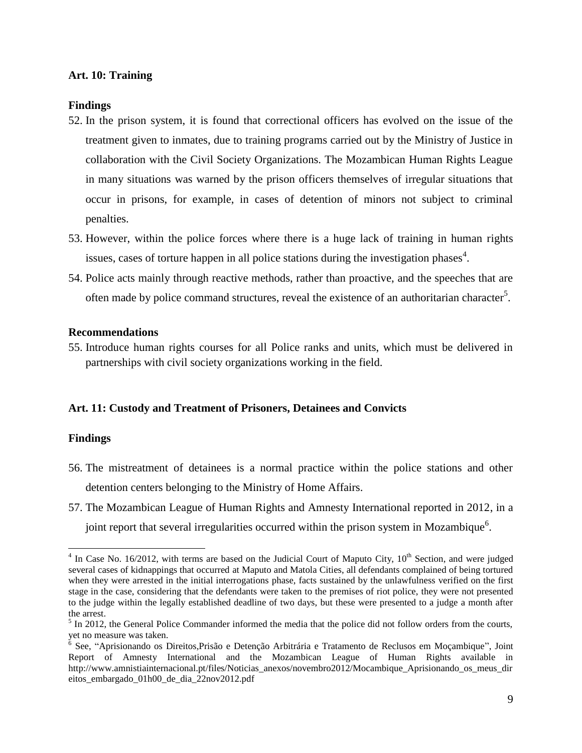# **Art. 10: Training**

# **Findings**

- 52. In the prison system, it is found that correctional officers has evolved on the issue of the treatment given to inmates, due to training programs carried out by the Ministry of Justice in collaboration with the Civil Society Organizations. The Mozambican Human Rights League in many situations was warned by the prison officers themselves of irregular situations that occur in prisons, for example, in cases of detention of minors not subject to criminal penalties.
- 53. However, within the police forces where there is a huge lack of training in human rights issues, cases of torture happen in all police stations during the investigation phases<sup>4</sup>.
- 54. Police acts mainly through reactive methods, rather than proactive, and the speeches that are often made by police command structures, reveal the existence of an authoritarian character<sup>5</sup>.

# **Recommendations**

55. Introduce human rights courses for all Police ranks and units, which must be delivered in partnerships with civil society organizations working in the field.

# **Art. 11: Custody and Treatment of Prisoners, Detainees and Convicts**

# **Findings**

 $\overline{a}$ 

- 56. The mistreatment of detainees is a normal practice within the police stations and other detention centers belonging to the Ministry of Home Affairs.
- 57. The Mozambican League of Human Rights and Amnesty International reported in 2012, in a joint report that several irregularities occurred within the prison system in Mozambique $^6$ .

 $4$  In Case No. 16/2012, with terms are based on the Judicial Court of Maputo City,  $10^{th}$  Section, and were judged several cases of kidnappings that occurred at Maputo and Matola Cities, all defendants complained of being tortured when they were arrested in the initial interrogations phase, facts sustained by the unlawfulness verified on the first stage in the case, considering that the defendants were taken to the premises of riot police, they were not presented to the judge within the legally established deadline of two days, but these were presented to a judge a month after the arrest.

 $<sup>5</sup>$  In 2012, the General Police Commander informed the media that the police did not follow orders from the courts,</sup> yet no measure was taken.

<sup>&</sup>lt;sup>6</sup> See, "Aprisionando os Direitos, Prisão e Detenção Arbitrária e Tratamento de Reclusos em Moçambique", Joint Report of Amnesty International and the Mozambican League of Human Rights available in http://www.amnistiainternacional.pt/files/Noticias\_anexos/novembro2012/Mocambique\_Aprisionando\_os\_meus\_dir eitos\_embargado\_01h00\_de\_dia\_22nov2012.pdf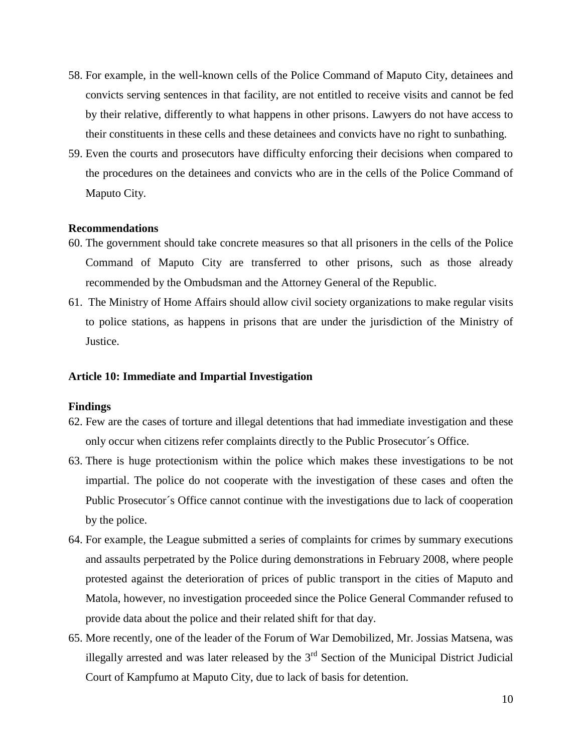- 58. For example, in the well-known cells of the Police Command of Maputo City, detainees and convicts serving sentences in that facility, are not entitled to receive visits and cannot be fed by their relative, differently to what happens in other prisons. Lawyers do not have access to their constituents in these cells and these detainees and convicts have no right to sunbathing.
- 59. Even the courts and prosecutors have difficulty enforcing their decisions when compared to the procedures on the detainees and convicts who are in the cells of the Police Command of Maputo City.

#### **Recommendations**

- 60. The government should take concrete measures so that all prisoners in the cells of the Police Command of Maputo City are transferred to other prisons, such as those already recommended by the Ombudsman and the Attorney General of the Republic.
- 61. The Ministry of Home Affairs should allow civil society organizations to make regular visits to police stations, as happens in prisons that are under the jurisdiction of the Ministry of Justice.

### **Article 10: Immediate and Impartial Investigation**

#### **Findings**

- 62. Few are the cases of torture and illegal detentions that had immediate investigation and these only occur when citizens refer complaints directly to the Public Prosecutor´s Office.
- 63. There is huge protectionism within the police which makes these investigations to be not impartial. The police do not cooperate with the investigation of these cases and often the Public Prosecutor´s Office cannot continue with the investigations due to lack of cooperation by the police.
- 64. For example, the League submitted a series of complaints for crimes by summary executions and assaults perpetrated by the Police during demonstrations in February 2008, where people protested against the deterioration of prices of public transport in the cities of Maputo and Matola, however, no investigation proceeded since the Police General Commander refused to provide data about the police and their related shift for that day.
- 65. More recently, one of the leader of the Forum of War Demobilized, Mr. Jossias Matsena, was illegally arrested and was later released by the  $3<sup>rd</sup>$  Section of the Municipal District Judicial Court of Kampfumo at Maputo City, due to lack of basis for detention.